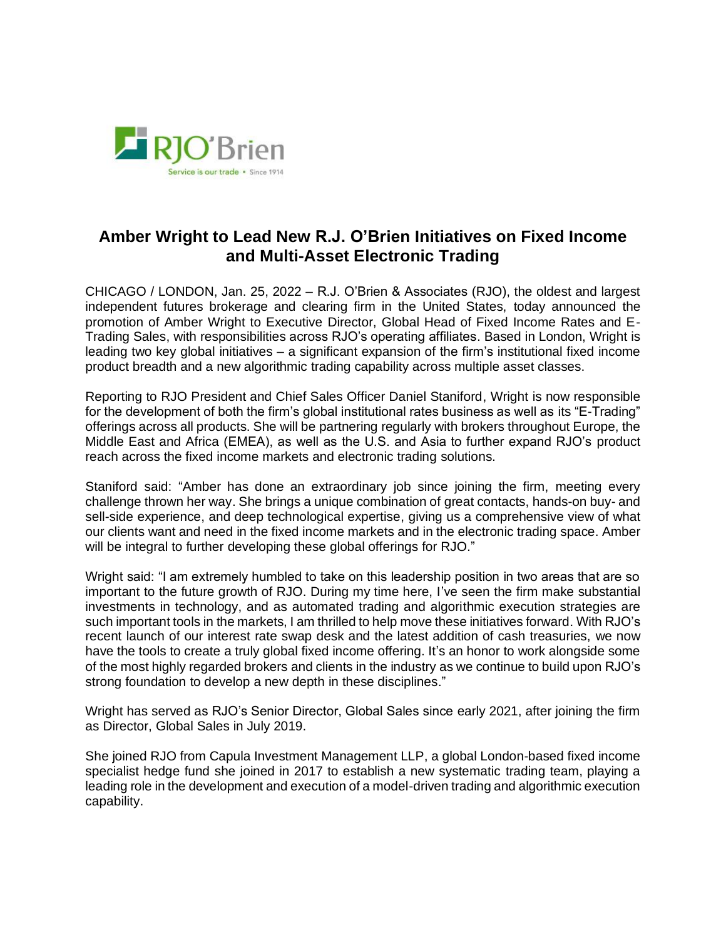

## **Amber Wright to Lead New R.J. O'Brien Initiatives on Fixed Income and Multi-Asset Electronic Trading**

CHICAGO / LONDON, Jan. 25, 2022 – R.J. O'Brien & Associates (RJO), the oldest and largest independent futures brokerage and clearing firm in the United States, today announced the promotion of Amber Wright to Executive Director, Global Head of Fixed Income Rates and E-Trading Sales, with responsibilities across RJO's operating affiliates. Based in London, Wright is leading two key global initiatives – a significant expansion of the firm's institutional fixed income product breadth and a new algorithmic trading capability across multiple asset classes.

Reporting to RJO President and Chief Sales Officer Daniel Staniford, Wright is now responsible for the development of both the firm's global institutional rates business as well as its "E-Trading" offerings across all products. She will be partnering regularly with brokers throughout Europe, the Middle East and Africa (EMEA), as well as the U.S. and Asia to further expand RJO's product reach across the fixed income markets and electronic trading solutions.

Staniford said: "Amber has done an extraordinary job since joining the firm, meeting every challenge thrown her way. She brings a unique combination of great contacts, hands-on buy- and sell-side experience, and deep technological expertise, giving us a comprehensive view of what our clients want and need in the fixed income markets and in the electronic trading space. Amber will be integral to further developing these global offerings for RJO."

Wright said: "I am extremely humbled to take on this leadership position in two areas that are so important to the future growth of RJO. During my time here, I've seen the firm make substantial investments in technology, and as automated trading and algorithmic execution strategies are such important tools in the markets, I am thrilled to help move these initiatives forward. With RJO's recent launch of our interest rate swap desk and the latest addition of cash treasuries, we now have the tools to create a truly global fixed income offering. It's an honor to work alongside some of the most highly regarded brokers and clients in the industry as we continue to build upon RJO's strong foundation to develop a new depth in these disciplines."

Wright has served as RJO's Senior Director, Global Sales since early 2021, after joining the firm as Director, Global Sales in July 2019.

She joined RJO from Capula Investment Management LLP, a global London-based fixed income specialist hedge fund she joined in 2017 to establish a new systematic trading team, playing a leading role in the development and execution of a model-driven trading and algorithmic execution capability.